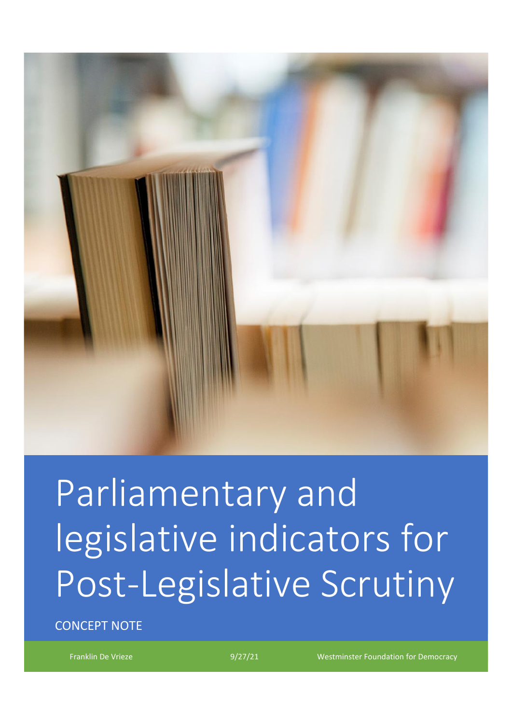

# Parliamentary and legislative indicators for Post-Legislative Scrutiny

CONCEPT NOTE

Franklin De Vrieze 1992 1992/21 Westminster Foundation for Democracy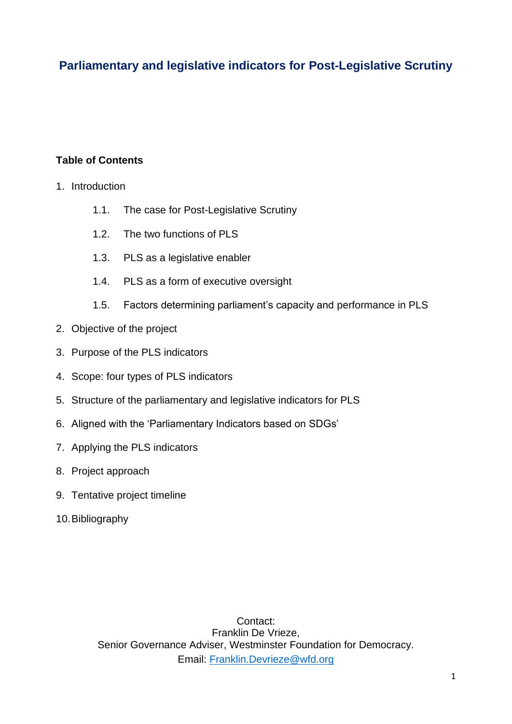## **Parliamentary and legislative indicators for Post-Legislative Scrutiny**

## **Table of Contents**

- 1. Introduction
	- 1.1. The case for Post-Legislative Scrutiny
	- 1.2. The two functions of PLS
	- 1.3. PLS as a legislative enabler
	- 1.4. PLS as a form of executive oversight
	- 1.5. Factors determining parliament's capacity and performance in PLS
- 2. Objective of the project
- 3. Purpose of the PLS indicators
- 4. Scope: four types of PLS indicators
- 5. Structure of the parliamentary and legislative indicators for PLS
- 6. Aligned with the 'Parliamentary Indicators based on SDGs'
- 7. Applying the PLS indicators
- 8. Project approach
- 9. Tentative project timeline
- 10.Bibliography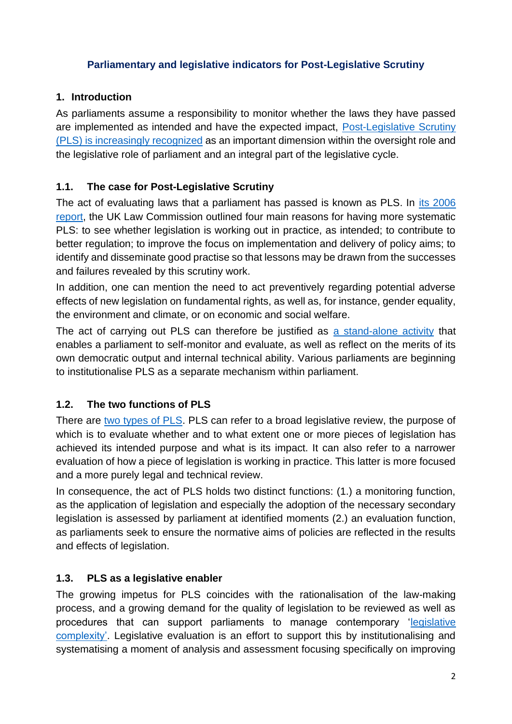#### **Parliamentary and legislative indicators for Post-Legislative Scrutiny**

## **1. Introduction**

As parliaments assume a responsibility to monitor whether the laws they have passed are implemented as intended and have the expected impact, [Post-Legislative Scrutiny](https://www.tandfonline.com/doi/full/10.1080/13572334.2019.1633778)  (PLS) [is increasingly recognized](https://www.tandfonline.com/doi/full/10.1080/13572334.2019.1633778) as an important dimension within the oversight role and the legislative role of parliament and an integral part of the legislative cycle.

## **1.1. The case for Post-Legislative Scrutiny**

The act of evaluating laws that a parliament has passed is known as PLS. In [its 2006](https://s3-eu-west-2.amazonaws.com/lawcom-prod-storage-11jsxou24uy7q/uploads/2015/03/lc302_Post-legislative_Scrutiny.pdf)  [report,](https://s3-eu-west-2.amazonaws.com/lawcom-prod-storage-11jsxou24uy7q/uploads/2015/03/lc302_Post-legislative_Scrutiny.pdf) the UK Law Commission outlined four main reasons for having more systematic PLS: to see whether legislation is working out in practice, as intended; to contribute to better regulation; to improve the focus on implementation and delivery of policy aims; to identify and disseminate good practise so that lessons may be drawn from the successes and failures revealed by this scrutiny work.

In addition, one can mention the need to act preventively regarding potential adverse effects of new legislation on fundamental rights, as well as, for instance, gender equality, the environment and climate, or on economic and social welfare.

The act of carrying out PLS can therefore be justified as [a stand-alone activity](https://www.tandfonline.com/doi/full/10.1080/13572334.2020.1780008) that enables a parliament to self-monitor and evaluate, as well as reflect on the merits of its own democratic output and internal technical ability. Various parliaments are beginning to institutionalise PLS as a separate mechanism within parliament.

## **1.2. The two functions of PLS**

There are [two types of PLS.](https://www.routledge.com/Parliaments-and-Post-Legislative-Scrutiny/Vrieze-Norton/p/book/9780367677565) PLS can refer to a broad legislative review, the purpose of which is to evaluate whether and to what extent one or more pieces of legislation has achieved its intended purpose and what is its impact. It can also refer to a narrower evaluation of how a piece of legislation is working in practice. This latter is more focused and a more purely legal and technical review.

In consequence, the act of PLS holds two distinct functions: (1.) a monitoring function, as the application of legislation and especially the adoption of the necessary secondary legislation is assessed by parliament at identified moments (2.) an evaluation function, as parliaments seek to ensure the normative aims of policies are reflected in the results and effects of legislation.

## **1.3. PLS as a legislative enabler**

The growing impetus for PLS coincides with the rationalisation of the law-making process, and a growing demand for the quality of legislation to be reviewed as well as procedures that can support parliaments to manage contemporary ['legislative](https://www.opc.gov.au/sites/default/files/reducingcomplexity_0.pdf)  [complexity'.](https://www.opc.gov.au/sites/default/files/reducingcomplexity_0.pdf) Legislative evaluation is an effort to support this by institutionalising and systematising a moment of analysis and assessment focusing specifically on improving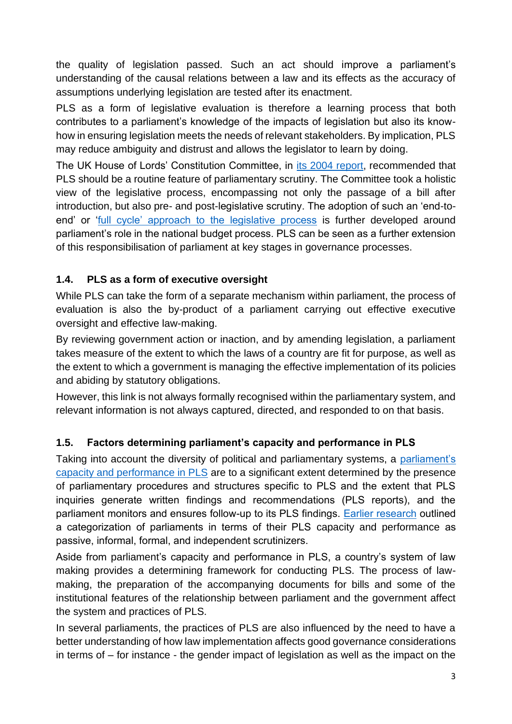the quality of legislation passed. Such an act should improve a parliament's understanding of the causal relations between a law and its effects as the accuracy of assumptions underlying legislation are tested after its enactment.

PLS as a form of legislative evaluation is therefore a learning process that both contributes to a parliament's knowledge of the impacts of legislation but also its knowhow in ensuring legislation meets the needs of relevant stakeholders. By implication, PLS may reduce ambiguity and distrust and allows the legislator to learn by doing.

The UK House of Lords' Constitution Committee, in [its 2004 report,](https://publications.parliament.uk/pa/ld200304/ldselect/ldconst/173/173.pdf) recommended that PLS should be a routine feature of parliamentary scrutiny. The Committee took a holistic view of the legislative process, encompassing not only the passage of a bill after introduction, but also pre- and post-legislative scrutiny. The adoption of such an 'end-toend' or ['full cycle' approach to the legislative process](https://www.tandfonline.com/doi/full/10.1080/13572334.2020.1765488) is further developed around parliament's role in the national budget process. PLS can be seen as a further extension of this responsibilisation of parliament at key stages in governance processes.

## **1.4. PLS as a form of executive oversight**

While PLS can take the form of a separate mechanism within parliament, the process of evaluation is also the by-product of a parliament carrying out effective executive oversight and effective law-making.

By reviewing government action or inaction, and by amending legislation, a parliament takes measure of the extent to which the laws of a country are fit for purpose, as well as the extent to which a government is managing the effective implementation of its policies and abiding by statutory obligations.

However, this link is not always formally recognised within the parliamentary system, and relevant information is not always captured, directed, and responded to on that basis.

## **1.5. Factors determining parliament's capacity and performance in PLS**

Taking into account the diversity of political and parliamentary systems, a parliament's [capacity and performance in PLS](https://www.tandfonline.com/doi/full/10.1080/13572334.2020.1769367) are to a significant extent determined by the presence of parliamentary procedures and structures specific to PLS and the extent that PLS inquiries generate written findings and recommendations (PLS reports), and the parliament monitors and ensures follow-up to its PLS findings. [Earlier research](https://www.wfd.org/wp-content/uploads/2020/02/WFD_DeVrieze_2020_PLSinEurope.pdf) outlined a categorization of parliaments in terms of their PLS capacity and performance as passive, informal, formal, and independent scrutinizers.

Aside from parliament's capacity and performance in PLS, a country's system of law making provides a determining framework for conducting PLS. The process of lawmaking, the preparation of the accompanying documents for bills and some of the institutional features of the relationship between parliament and the government affect the system and practices of PLS.

In several parliaments, the practices of PLS are also influenced by the need to have a better understanding of how law implementation affects good governance considerations in terms of – for instance - the gender impact of legislation as well as the impact on the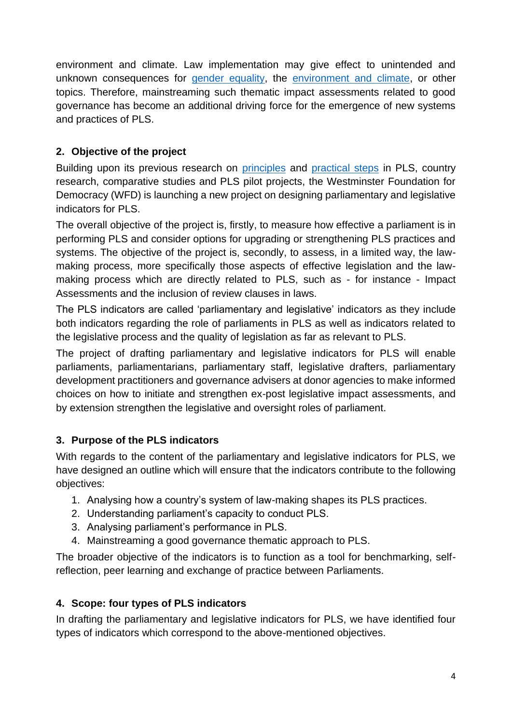environment and climate. Law implementation may give effect to unintended and unknown consequences for [gender equality,](https://www.wfd.org/wp-content/uploads/2020/07/policy-paper_updated1.pdf) the [environment and climate,](https://www.wfd.org/wp-content/uploads/2021/04/PLS-climate.pdf) or other topics. Therefore, mainstreaming such thematic impact assessments related to good governance has become an additional driving force for the emergence of new systems and practices of PLS.

## **2. Objective of the project**

Building upon its previous research on [principles](https://www.wfd.org/wp-content/uploads/2018/07/Principles-of-Post-Legislative-Scrutiny-by-Parliaments.pdf) and [practical steps](https://www.wfd.org/wp-content/uploads/2018/07/WFD_Manual-on-Post-Legislative-Scrutiny.pdf) in PLS, country research, comparative studies and PLS pilot projects, the Westminster Foundation for Democracy (WFD) is launching a new project on designing parliamentary and legislative indicators for PLS.

The overall objective of the project is, firstly, to measure how effective a parliament is in performing PLS and consider options for upgrading or strengthening PLS practices and systems. The objective of the project is, secondly, to assess, in a limited way, the lawmaking process, more specifically those aspects of effective legislation and the lawmaking process which are directly related to PLS, such as - for instance - Impact Assessments and the inclusion of review clauses in laws.

The PLS indicators are called 'parliamentary and legislative' indicators as they include both indicators regarding the role of parliaments in PLS as well as indicators related to the legislative process and the quality of legislation as far as relevant to PLS.

The project of drafting parliamentary and legislative indicators for PLS will enable parliaments, parliamentarians, parliamentary staff, legislative drafters, parliamentary development practitioners and governance advisers at donor agencies to make informed choices on how to initiate and strengthen ex-post legislative impact assessments, and by extension strengthen the legislative and oversight roles of parliament.

## **3. Purpose of the PLS indicators**

With regards to the content of the parliamentary and legislative indicators for PLS, we have designed an outline which will ensure that the indicators contribute to the following objectives:

- 1. Analysing how a country's system of law-making shapes its PLS practices.
- 2. Understanding parliament's capacity to conduct PLS.
- 3. Analysing parliament's performance in PLS.
- 4. Mainstreaming a good governance thematic approach to PLS.

The broader objective of the indicators is to function as a tool for benchmarking, selfreflection, peer learning and exchange of practice between Parliaments.

## **4. Scope: four types of PLS indicators**

In drafting the parliamentary and legislative indicators for PLS, we have identified four types of indicators which correspond to the above-mentioned objectives.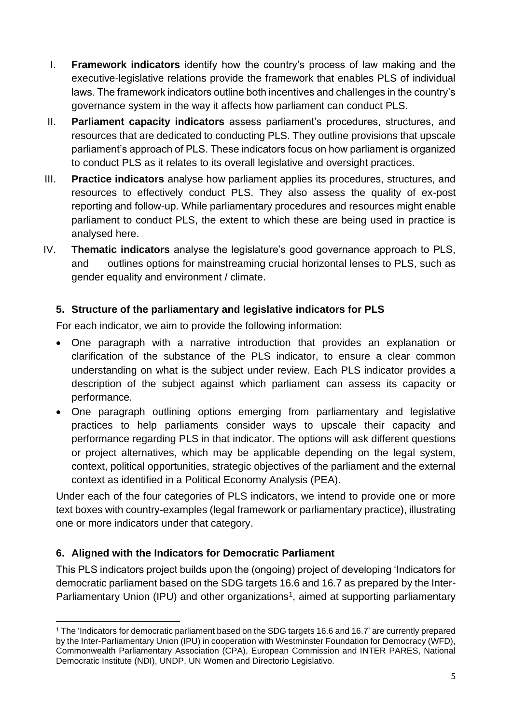- I. **Framework indicators** identify how the country's process of law making and the executive-legislative relations provide the framework that enables PLS of individual laws. The framework indicators outline both incentives and challenges in the country's governance system in the way it affects how parliament can conduct PLS.
- II. **Parliament capacity indicators** assess parliament's procedures, structures, and resources that are dedicated to conducting PLS. They outline provisions that upscale parliament's approach of PLS. These indicators focus on how parliament is organized to conduct PLS as it relates to its overall legislative and oversight practices.
- III. **Practice indicators** analyse how parliament applies its procedures, structures, and resources to effectively conduct PLS. They also assess the quality of ex-post reporting and follow-up. While parliamentary procedures and resources might enable parliament to conduct PLS, the extent to which these are being used in practice is analysed here.
- IV. **Thematic indicators** analyse the legislature's good governance approach to PLS, and outlines options for mainstreaming crucial horizontal lenses to PLS, such as gender equality and environment / climate.

## **5. Structure of the parliamentary and legislative indicators for PLS**

For each indicator, we aim to provide the following information:

- One paragraph with a narrative introduction that provides an explanation or clarification of the substance of the PLS indicator, to ensure a clear common understanding on what is the subject under review. Each PLS indicator provides a description of the subject against which parliament can assess its capacity or performance.
- One paragraph outlining options emerging from parliamentary and legislative practices to help parliaments consider ways to upscale their capacity and performance regarding PLS in that indicator. The options will ask different questions or project alternatives, which may be applicable depending on the legal system, context, political opportunities, strategic objectives of the parliament and the external context as identified in a Political Economy Analysis (PEA).

Under each of the four categories of PLS indicators, we intend to provide one or more text boxes with country-examples (legal framework or parliamentary practice), illustrating one or more indicators under that category.

#### **6. Aligned with the Indicators for Democratic Parliament**

This PLS indicators project builds upon the (ongoing) project of developing 'Indicators for democratic parliament based on the SDG targets 16.6 and 16.7 as prepared by the Inter-Parliamentary Union (IPU) and other organizations<sup>1</sup>, aimed at supporting parliamentary

<sup>&</sup>lt;sup>1</sup> The 'Indicators for democratic parliament based on the SDG targets 16.6 and 16.7' are currently prepared by the Inter-Parliamentary Union (IPU) in cooperation with Westminster Foundation for Democracy (WFD), Commonwealth Parliamentary Association (CPA), European Commission and INTER PARES, National Democratic Institute (NDI), UNDP, UN Women and Directorio Legislativo.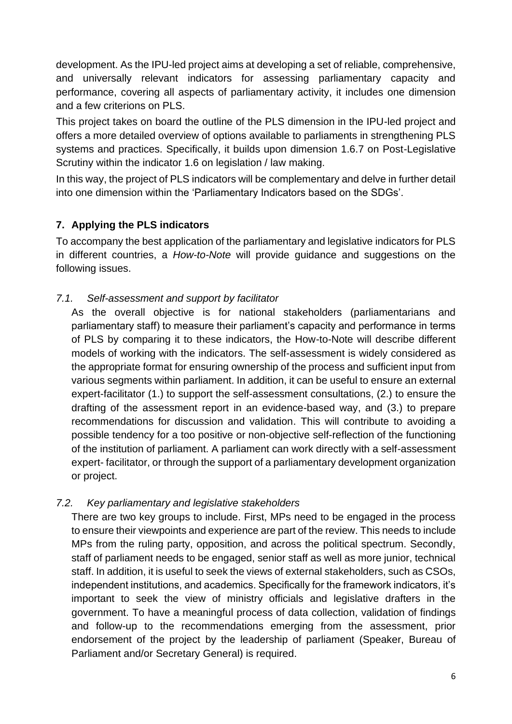development. As the IPU-led project aims at developing a set of reliable, comprehensive, and universally relevant indicators for assessing parliamentary capacity and performance, covering all aspects of parliamentary activity, it includes one dimension and a few criterions on PLS.

This project takes on board the outline of the PLS dimension in the IPU-led project and offers a more detailed overview of options available to parliaments in strengthening PLS systems and practices. Specifically, it builds upon dimension 1.6.7 on Post-Legislative Scrutiny within the indicator 1.6 on legislation / law making.

In this way, the project of PLS indicators will be complementary and delve in further detail into one dimension within the 'Parliamentary Indicators based on the SDGs'.

## **7. Applying the PLS indicators**

To accompany the best application of the parliamentary and legislative indicators for PLS in different countries, a *How-to-Note* will provide guidance and suggestions on the following issues.

#### *7.1. Self-assessment and support by facilitator*

As the overall objective is for national stakeholders (parliamentarians and parliamentary staff) to measure their parliament's capacity and performance in terms of PLS by comparing it to these indicators, the How-to-Note will describe different models of working with the indicators. The self-assessment is widely considered as the appropriate format for ensuring ownership of the process and sufficient input from various segments within parliament. In addition, it can be useful to ensure an external expert-facilitator (1.) to support the self-assessment consultations, (2.) to ensure the drafting of the assessment report in an evidence-based way, and (3.) to prepare recommendations for discussion and validation. This will contribute to avoiding a possible tendency for a too positive or non-objective self-reflection of the functioning of the institution of parliament. A parliament can work directly with a self-assessment expert- facilitator, or through the support of a parliamentary development organization or project.

#### *7.2. Key parliamentary and legislative stakeholders*

There are two key groups to include. First, MPs need to be engaged in the process to ensure their viewpoints and experience are part of the review. This needs to include MPs from the ruling party, opposition, and across the political spectrum. Secondly, staff of parliament needs to be engaged, senior staff as well as more junior, technical staff. In addition, it is useful to seek the views of external stakeholders, such as CSOs, independent institutions, and academics. Specifically for the framework indicators, it's important to seek the view of ministry officials and legislative drafters in the government. To have a meaningful process of data collection, validation of findings and follow-up to the recommendations emerging from the assessment, prior endorsement of the project by the leadership of parliament (Speaker, Bureau of Parliament and/or Secretary General) is required.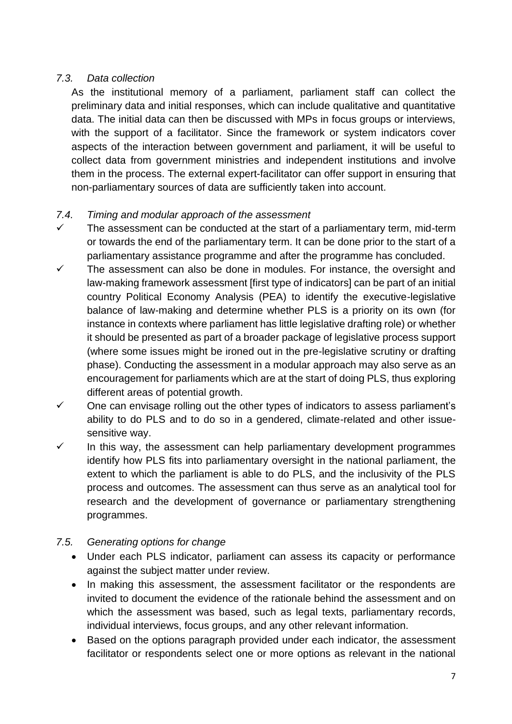## *7.3. Data collection*

As the institutional memory of a parliament, parliament staff can collect the preliminary data and initial responses, which can include qualitative and quantitative data. The initial data can then be discussed with MPs in focus groups or interviews, with the support of a facilitator. Since the framework or system indicators cover aspects of the interaction between government and parliament, it will be useful to collect data from government ministries and independent institutions and involve them in the process. The external expert-facilitator can offer support in ensuring that non-parliamentary sources of data are sufficiently taken into account.

## *7.4. Timing and modular approach of the assessment*

- $\checkmark$  The assessment can be conducted at the start of a parliamentary term, mid-term or towards the end of the parliamentary term. It can be done prior to the start of a parliamentary assistance programme and after the programme has concluded.
- ✓ The assessment can also be done in modules. For instance, the oversight and law-making framework assessment [first type of indicators] can be part of an initial country Political Economy Analysis (PEA) to identify the executive-legislative balance of law-making and determine whether PLS is a priority on its own (for instance in contexts where parliament has little legislative drafting role) or whether it should be presented as part of a broader package of legislative process support (where some issues might be ironed out in the pre-legislative scrutiny or drafting phase). Conducting the assessment in a modular approach may also serve as an encouragement for parliaments which are at the start of doing PLS, thus exploring different areas of potential growth.
- ✓ One can envisage rolling out the other types of indicators to assess parliament's ability to do PLS and to do so in a gendered, climate-related and other issuesensitive way.
- $\checkmark$  In this way, the assessment can help parliamentary development programmes identify how PLS fits into parliamentary oversight in the national parliament, the extent to which the parliament is able to do PLS, and the inclusivity of the PLS process and outcomes. The assessment can thus serve as an analytical tool for research and the development of governance or parliamentary strengthening programmes.

#### *7.5. Generating options for change*

- Under each PLS indicator, parliament can assess its capacity or performance against the subject matter under review.
- In making this assessment, the assessment facilitator or the respondents are invited to document the evidence of the rationale behind the assessment and on which the assessment was based, such as legal texts, parliamentary records, individual interviews, focus groups, and any other relevant information.
- Based on the options paragraph provided under each indicator, the assessment facilitator or respondents select one or more options as relevant in the national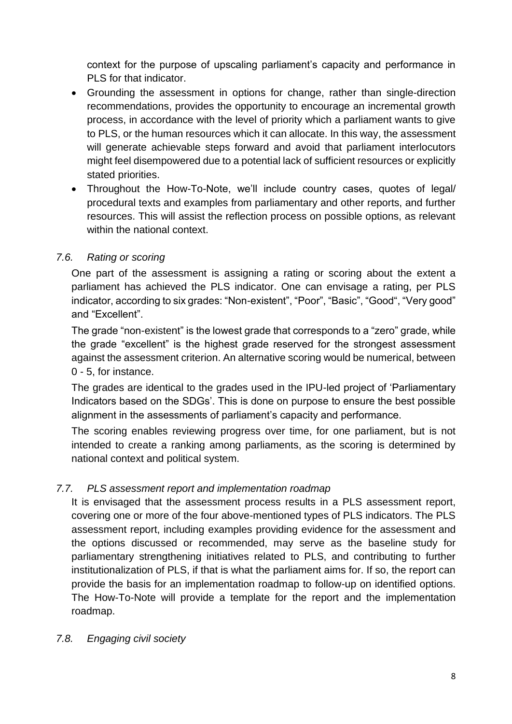context for the purpose of upscaling parliament's capacity and performance in PLS for that indicator.

- Grounding the assessment in options for change, rather than single-direction recommendations, provides the opportunity to encourage an incremental growth process, in accordance with the level of priority which a parliament wants to give to PLS, or the human resources which it can allocate. In this way, the assessment will generate achievable steps forward and avoid that parliament interlocutors might feel disempowered due to a potential lack of sufficient resources or explicitly stated priorities.
- Throughout the How-To-Note, we'll include country cases, quotes of legal/ procedural texts and examples from parliamentary and other reports, and further resources. This will assist the reflection process on possible options, as relevant within the national context.

#### *7.6. Rating or scoring*

One part of the assessment is assigning a rating or scoring about the extent a parliament has achieved the PLS indicator. One can envisage a rating, per PLS indicator, according to six grades: "Non-existent", "Poor", "Basic", "Good", "Very good" and "Excellent".

The grade "non-existent" is the lowest grade that corresponds to a "zero" grade, while the grade "excellent" is the highest grade reserved for the strongest assessment against the assessment criterion. An alternative scoring would be numerical, between 0 - 5, for instance.

The grades are identical to the grades used in the IPU-led project of 'Parliamentary Indicators based on the SDGs'. This is done on purpose to ensure the best possible alignment in the assessments of parliament's capacity and performance.

The scoring enables reviewing progress over time, for one parliament, but is not intended to create a ranking among parliaments, as the scoring is determined by national context and political system.

## *7.7. PLS assessment report and implementation roadmap*

It is envisaged that the assessment process results in a PLS assessment report, covering one or more of the four above-mentioned types of PLS indicators. The PLS assessment report, including examples providing evidence for the assessment and the options discussed or recommended, may serve as the baseline study for parliamentary strengthening initiatives related to PLS, and contributing to further institutionalization of PLS, if that is what the parliament aims for. If so, the report can provide the basis for an implementation roadmap to follow-up on identified options. The How-To-Note will provide a template for the report and the implementation roadmap.

#### *7.8. Engaging civil society*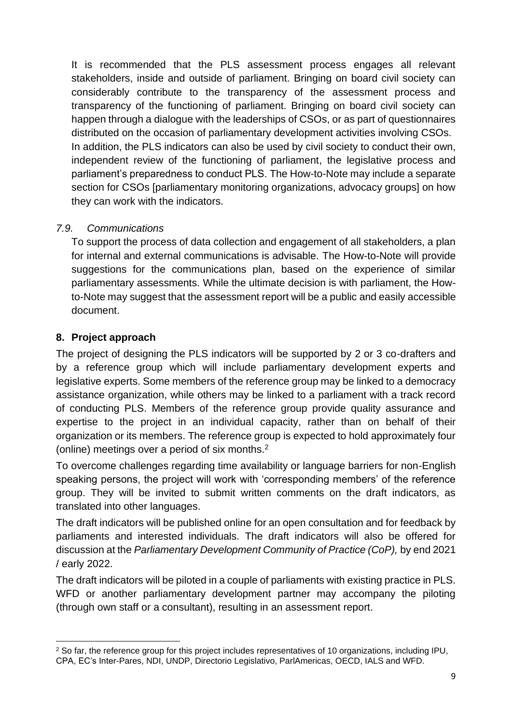It is recommended that the PLS assessment process engages all relevant stakeholders, inside and outside of parliament. Bringing on board civil society can considerably contribute to the transparency of the assessment process and transparency of the functioning of parliament. Bringing on board civil society can happen through a dialogue with the leaderships of CSOs, or as part of questionnaires distributed on the occasion of parliamentary development activities involving CSOs. In addition, the PLS indicators can also be used by civil society to conduct their own, independent review of the functioning of parliament, the legislative process and parliament's preparedness to conduct PLS. The How-to-Note may include a separate section for CSOs [parliamentary monitoring organizations, advocacy groups] on how they can work with the indicators.

#### *7.9. Communications*

To support the process of data collection and engagement of all stakeholders, a plan for internal and external communications is advisable. The How-to-Note will provide suggestions for the communications plan, based on the experience of similar parliamentary assessments. While the ultimate decision is with parliament, the Howto-Note may suggest that the assessment report will be a public and easily accessible document.

## **8. Project approach**

The project of designing the PLS indicators will be supported by 2 or 3 co-drafters and by a reference group which will include parliamentary development experts and legislative experts. Some members of the reference group may be linked to a democracy assistance organization, while others may be linked to a parliament with a track record of conducting PLS. Members of the reference group provide quality assurance and expertise to the project in an individual capacity, rather than on behalf of their organization or its members. The reference group is expected to hold approximately four (online) meetings over a period of six months.<sup>2</sup>

To overcome challenges regarding time availability or language barriers for non-English speaking persons, the project will work with 'corresponding members' of the reference group. They will be invited to submit written comments on the draft indicators, as translated into other languages.

The draft indicators will be published online for an open consultation and for feedback by parliaments and interested individuals. The draft indicators will also be offered for discussion at the *Parliamentary Development Community of Practice (CoP),* by end 2021 / early 2022.

The draft indicators will be piloted in a couple of parliaments with existing practice in PLS. WFD or another parliamentary development partner may accompany the piloting (through own staff or a consultant), resulting in an assessment report.

<sup>&</sup>lt;sup>2</sup> So far, the reference group for this project includes representatives of 10 organizations, including IPU, CPA, EC's Inter-Pares, NDI, UNDP, Directorio Legislativo, ParlAmericas, OECD, IALS and WFD.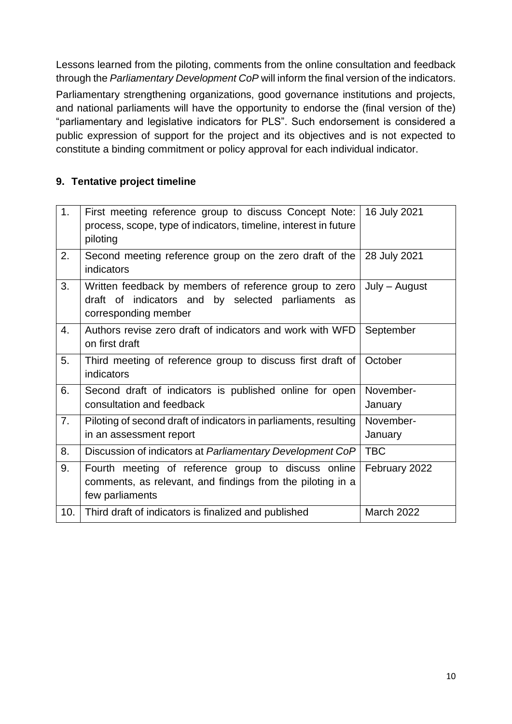Lessons learned from the piloting, comments from the online consultation and feedback through the *Parliamentary Development CoP* will inform the final version of the indicators.

Parliamentary strengthening organizations, good governance institutions and projects, and national parliaments will have the opportunity to endorse the (final version of the) "parliamentary and legislative indicators for PLS". Such endorsement is considered a public expression of support for the project and its objectives and is not expected to constitute a binding commitment or policy approval for each individual indicator.

#### **9. Tentative project timeline**

| 1.               | First meeting reference group to discuss Concept Note:<br>process, scope, type of indicators, timeline, interest in future<br>piloting     | 16 July 2021         |
|------------------|--------------------------------------------------------------------------------------------------------------------------------------------|----------------------|
| 2.               | Second meeting reference group on the zero draft of the<br>indicators                                                                      | 28 July 2021         |
| 3.               | Written feedback by members of reference group to zero<br>of indicators and by selected parliaments<br>draft<br>as<br>corresponding member | July – August        |
| $\overline{4}$ . | Authors revise zero draft of indicators and work with WFD<br>on first draft                                                                | September            |
| 5.               | Third meeting of reference group to discuss first draft of<br>indicators                                                                   | October              |
| 6.               | Second draft of indicators is published online for open<br>consultation and feedback                                                       | November-<br>January |
| 7.               | Piloting of second draft of indicators in parliaments, resulting<br>in an assessment report                                                | November-<br>January |
| 8.               | Discussion of indicators at Parliamentary Development CoP                                                                                  | <b>TBC</b>           |
| 9.               | Fourth meeting of reference group to discuss online<br>comments, as relevant, and findings from the piloting in a<br>few parliaments       | February 2022        |
| 10.              | Third draft of indicators is finalized and published                                                                                       | <b>March 2022</b>    |